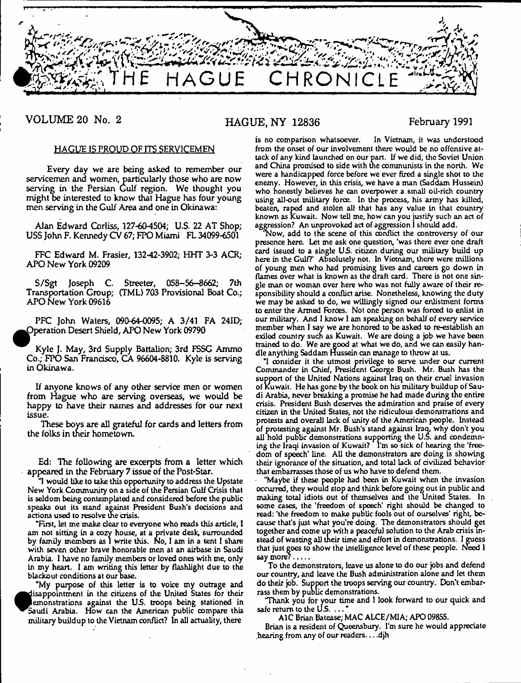

**VOLUME 20 No. 2**

## **HAGUE, NY 12836**

**February 1991**

#### HAGUE IS PROUD OF ITS SERVICEMEN

Every day we are being asked to remember our servicemen and women, particularly those who are now serving in the Persian Gulf region. We thought you might be interested to know that Hague has four young men serving in the Gulf Area and one in Okinawa:

Alan Edward Corliss, 127-60-4504; U.S. 22 AT Shop; USS John F. Kennedy CV 67; FPO Miami FL 34099-6501

FFC Edward M. Frasier, 132-42-3902; HHT 3-3 ACR; APONew York 09209

S/Sgt Joseph C. Streeter, 058-56-8662; 7th Transportation Group; (TML) 703 Provisional Boat Co.; APO New York 09616

PFC John Waters, 090-64-0095; A 3/41 FA 24ID; Operation Desert Shield, APO New York 09790

Kyle J. May, 3rd Supply Battalion; 3rd FSSG Ammo Co.; FPO San Francisco, CA 96604-8810. Kyle is serving in Okinawa.

If anyone knows of any other service men or women from Hague who are serving overseas, we would be happy to have their names and addresses for our next issue.

These boys are all grateful for cards and letters from the folks in their hometown.

Ed: The following are excerpts from a letter which appeared in the February 7 issue of the Post-Star.

'1 would like to take this opportunity to address the Upstate New York Community on a side of the Persian Gulf Crisis that is seldom being contemplated and considered before the public speaks out its stand against President Bush's decisions and actions used to resolve the crisis.

"First, let me make clear to everyone who reads this article, I am not sitting in a cozy house, at a private desk, surrounded by family members as 1 write this. No, I am in a tent 1 share with seven other brave honorable men at an airbase in Saudi Arabia. 1 have no family members or loved ones with me, only in my heart. 1 am writing this tetter by flashlight due to the blackout conditions at our base.

"My purpose of this letter is to voice my outrage and  $\bullet$ disappointment in the citizens of the United States for their emonstrations against the U.S. troops being stationed in Saudi Arabia. How can the American public compare this military buildup to the Vietnam conflict? In all actuality, there

is no comparison whatsoever. In Vietnam, it was understood from the onset of our involvement there would be no offensive attack of any kind launched on our part. If we did, the Soviet Union and China promised to side with the communists in the north. We were a handicapped force before we ever fired a single shot to the enemy. However, in this crisis, we have a man (Saddam Hussein) who honestly believes he can overpower a small oil-rich country using all-out military force. In the process, his army has killed, beaten, raped and stolen all that has any value in that country known as Kuwait. Now tell me, how can you justify such an act of aggression? An unprovoked act of aggression I should add.

'Now, add to the scene of this conflict the controversy of our presence here. Let me ask one question, 'was there ever one draft card issued to a single US. citizen during our military build up here in the Gulf?' Absolutely not. In Vietnam, there were millions of young men who had promising lives and careers go down in flames over what is known as the draft card. There is not one single man or woman over here who was not fully aware of their responsibility should a conflict arise. Nonetheless, knowing the duty we may be asked to do, we willingly signed our enlistment forms to enter the Armed Forces. Not one person was forced to enlist in our military. And I know I am speaking on behalf of every service member when I say we are honored to be asked to re-establish an exiled country such as Kuwait. We are doing a job we have been trained to do. We are good at what we do, and we can easily handle anything Saddam Hussein can manage to throw at us.

T consider it the utmost privilege to serve under our current Commander in Chief, President George Bush. Mr. Bush has the support of the United Nations against Iraq on their cruel invasion of Kuwait. He has gone by the book on his military buildup of Saudi Arabia, never breaking a promise he had made during the entire crisis. President Bush deserves the admiration and praise of every citizen in the United States, not the ridiculous demonstrations and protests and overall lack of unity of the American people. Instead of protesting against Mr. Bush's stand against Iraq, why don't you all hold public demonstrations supporting the U.S. and condemning the Iraqi invasion of Kuwait? I'm so sick of hearing the 'freedom of speech' line. All the demonstrators arc doing is showing their ignorance of the situation, and total lack of civilized behavior that embarrasses those of us who have to defend them.

"Maybe if these people had been in Kuwait when the invasion occurred, they would stop and think before going out in public and making total idiots out of themselves and the United States. In some cases, the 'freedom of speech' right should be changed to read: 'the freedom to make public fools out of ourselves' right, because that's just what you're doing. The demonstrators should get together and come up with a peaceful solution to the Arab crisis instead of wasting all their time and effort in demonstrations. 1 guess that just goes to show the intelligence level of these people. Need 1 say more?........

To the demonstrators, leave us alone to do our jobs and defend our country, and leave the Bush administration alone and let them do their job. Support the troops serving our country. Don't embarrass them by public demonstrations.

'Thank you for your time and I look forward to our quick and safe return to the  $\mathsf{U}.\mathsf{S}.\dots$ 

AlC Brian Batease; MAC ALCE/MIA; APO 09855.

Brian is a resident of Queensbury. I'm sure he would appreciate hearing from any of our readers... .djh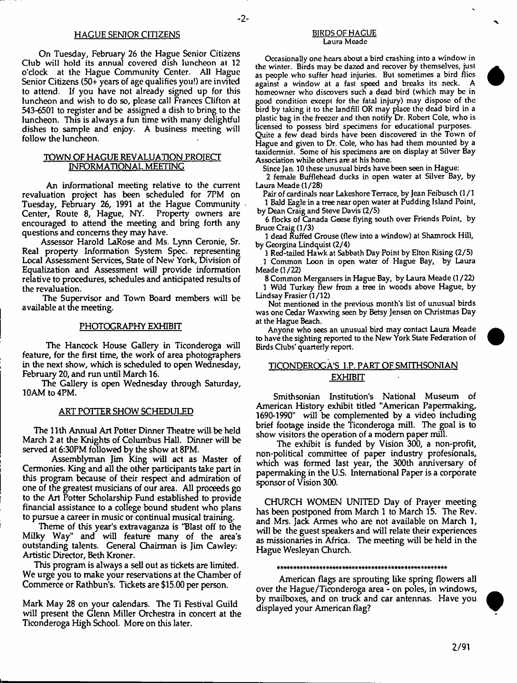#### HAGUE SENIOR CITIZENS BIRDS OF HAGUE

On Tuesday, February 26 the Hague Senior Citizens Club will hold its annual covered dish luncheon at 12 o'clock at the Hague Community Center. All Hague Senior Citizens (50+ years of age qualifies you!) are invited to attend. If you have not already signed up for this luncheon and wish to do so, please call Frances Clifton at 543-6501 to register and be assigned a dish to bring to the luncheon. This is always a fun time with many delightful dishes to sample and enjoy. A business meeting will follow the luncheon.

#### TOWN OF HAGUE REVALUATION PROJECT INFORMATIONAL MEETING

An informational meeting relative to the current revaluation project has been scheduled for 7PM on Tuesday, February 26, 1991 at the Hague Community Center, Route 8, Hague, NY. Property owners are encouraged to attend the meeting and bring forth any questions and concerns they may have.

Assessor Harold LaRose and Ms. Lynn Ceronie, Sr. Real property Information System Spec, representing Local Assessment Services, State of New York, Division of Equalization and Assessment will provide information relative to procedures, schedules and anticipated results of the revaluation.

The Supervisor and Town Board members will be available at the meeting.

#### PHOTOGRAPHY EXHIBIT

The Hancock House Gallery in Ticonderoga will feature, for the first time, the work of area photographers in the next show, which is scheduled to open Wednesday, February 20, and run until March 16.

The Gallery is open Wednesday through Saturday, 10AM to 4PM.

#### ART POTTER SHOW SCHEDULED

The 11th Annual Art Potter Dinner Theatre will be held March 2 at the Knights of Columbus Hall. Dinner will be served at 6:30PM followed by the show at 8PM.

Assemblyman Jim King will act as Master of Cermonies. King and all the other participants take part in this program because of their respect and admiration of one of the greatest musicians of our area. All proceeds go to the Art Potter Scholarship Fund established to provide financial assistance to a college bound student who plans to pursue a career in music or continual musical training.

Theme of this year's extravaganza is ''Blast off to the Milky Way" and will feature many of the area's outstanding talents. General Chairman is Jim Cawley: Artistic Director, Beth Kroner.

This program is always a sell out as tickets are limited. We urge you to make your reservations at the Chamber of Commerce or Rathbun's. Tickets are \$15.00 per person.

Mark May 28 on your calendars. The Ti Festival Guild will present the Glenn Miller Orchestra in concert at the Ticonderoga High School. More on this later.

# Laura Meade

Occasionally one hears about a bird crashing into a window in the winter. Birds may be dazed and recover by themselves, just as people who suffer head injuries. But sometimes a bird flics against a window at a fast speed and breaks its neck. A homeowner who discovers such a dead bird (which may be in good condition except for the fatal injury) may dispose of the ird by taking it to the landfill OR may place the dead bird in a plastic bag in the freezer and then notify Dr. Robert Cole, who is licensed to possess bird specimens for educational purposes. Quite a few dead birds have been discovered in the Town of Hague and given to Dr. Cole, who has had them mounted by a taxidermist. Some of his specimens are on display at Silver Bay Association while others are at his home.

Since Jan. 10 these unusual birds have been seen in Hague:

2 female Bufflehead ducks in open water at Silver Bay, by Laura Meade (1/28)

Pair of cardinals near Lakeshore Terrace, by Jean Feibusch (1/1 1 Bald Eagle in a tree near open water at Pudding Island Point, by Dean Craig and Steve Davis (2/5)

6 flocks of Canada Geese flying south over Friends Point, by Bruce Craig (1 /3)

1 dead Ruffed Grouse (flew into a window) at Shamrock Hill, by Georgina Lindquist (2/4)

1 Red-tailed Hawk at Sabbath Day Point by Elton Rising (2/5) 1 Common Loon in open water of Hague Bay, by Laura Meade (1/22)

8 Common Mergansers in Hague Bay, by Laura Meade (1/22) 1 Wild Turkey flew from a tree in woods above Hague, by Lindsay Frasier (1/12)

Not mentioned in the previous month's list of unusual birds was one Cedar Waxwing seen by Betsy Jensen on Christmas Day at the Hague Beach.

Anyone who sees an unusual bird may contact Laura Meade to have the sighting reported to the New York State Federation of Birds Clubs' quarterly report.

#### TICONDEROGA'S I.P. PART OF SMITHSONIAN EXHIBIT

Smithsonian Institution's National Museum of American History exhibit titled "American Papermaking, 1690-1990" will be complemented by a video including brief footage inside the Ticonderoga mill. The goal is to show visitors the operation of a modem paper mill.

The exhibit is funded by Vision 300, a non-profit, non-political committee of paper industry profesionals, which was formed last year, the 300th anniversary of papermaking in the U.S. International Paper is a corporate sponsor of Vision 300.

CHURCH WOMEN UNITED Day of Prayer meeting has been postponed from March 1 to March 15. The Rev. and Mrs. Jack Armes who are not available on March 1, will be the guest speakers and will relate their experiences as missionaries in Africa. The meeting will be held in the Hague Wesleyan Church.

#### 

American flags are sprouting like spring flowers all over the Hague/Ticonderoga area - on poles, in windows, by mailboxes, and on truck and car antennas. Have you displayed your American flag?



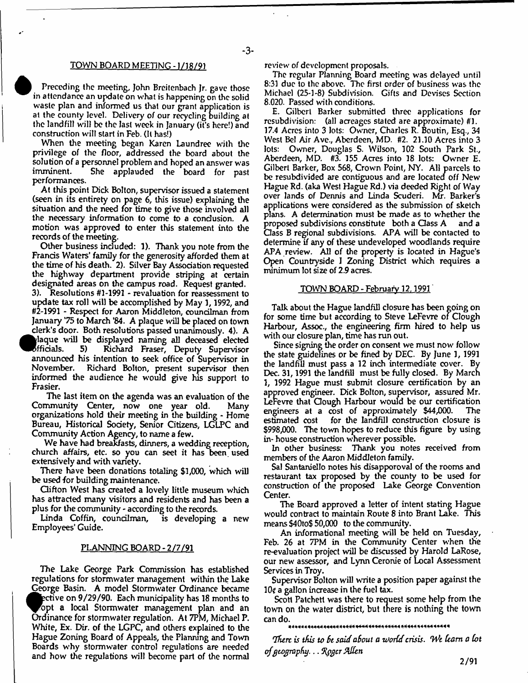#### TOWN BOARD MEETING -1/18/91

Preceding the meeting, John Breitenbach Jr. gave those in attendance an update on what is happening on the solid waste plan and informed us that our grant application is at the county level. Delivery of our recycling building at the landfill will be the last week in January (it's here!) and construction will start in Feb. (It has!)

When the meeting began Karen Laundree with the privilege of the floor, addressed the board about the solution of a personnel problem and hoped an answer was She applauded the board for past performances.

At this point Dick Bolton, supervisor issued a statement (seen in its entirety on page 6, this issue) explaining the situation and the need for time to give those involved all the necessary information to come to a conclusion. A motion was approved to enter this statement into the records of the meeting.

Other business included: 1). Thank you note from the Francis Waters' family for the generosity afforded them at the time of his death. 2). Silver Bay Association requested the highway department provide striping at certain designated areas on the campus road. Request granted. 3). Resolutions #1-1991 - revaluation for reassessment to update tax roll will be accomplished by May 1, 1992, and #2-1991 - Respect for Aaron Middleton, councilman from January '75 to March '84. A plaque will be placed on town clerk's door. Both resolutions passed unanimously. 4). A  $\bullet$ <sup>a</sup> laque will be displayed naming all deceased elected Richard Fraser, Deputy Supervisor announced his intention to seek office of Supervisor in November. Richard Bolton, present supervisor then informed the audience he would give his support to Frasier.

The last item on the agenda was an evaluation of the Community Center, now one year old. Many organizations hold their meeting in the building - Home Bureau, Historical Society, Senior Citizens, LGLPC and Community Action Agency, to name a few.

We have had breakfasts, dinners, a wedding reception, church affairs, etc. so you can seet it has been used extensively and with variety.

There have been donations totaling \$1,000, which will be used for building maintenance.

Clifton West has created a lovely little museum which has attracted many visitors and residents and has been a plus for the community - according to the records.

Linda Coffin, councilman, is developing a new Employees' Guide.

#### PLANNING BOARD - 2/7/91

The Lake George Park Commission has established regulations for stomwater management within the Lake George Basin. A model Stomwater Ordinance became ective on 9/29/90. Each municipality has 18 months to opt a local Storm water management plan and an Ordinance for stormwater regulation. At 7PM, Michael P. White, Ex. Dir. of the LGPC, and others explained to the Hague Zoning Board of Appeals, the Planning and Town Boards why storm water control regulations are needed and how the regulations will become part of the normal

**!**

review of development proposals.

The regular Planning Board meeting was delayed until 8:31 due to the above. The first order of business was the Michael (25-1-8) Subdivision. Gifts and Devises Section 8.020. Passed with conditions.

E. Gilbert Barker submitted three applications for resubdivision: (all acreages stated are approximate) #1. 17.4 Acres into 3 lots: Owmer, Charles R. Boutin, Esq., 34 West Bel Air Ave., Aberdeen, MD. #2. 21.10 Acres into 3 lots: Owner, Douglas S. Wilson, 102 South Park St., Aberdeen, MD. #3. 155 Acres into 18 lots: Owner E. Gilbert Barker, Box 568, Crown Point, NY. All parcels to be resubdivided are contiguous and are located off New Hague Rd. (aka West Hague Rd.) via deeded Right of Way over lands of Dennis and Linda Scuderi, Mr. Barker's applications were considered as the submission of sketch plans. A determination must be made as to whether the proposed subdivisions constitute both a Class A and a Gass B regional subdivisions. APA will be contacted to determine if any of these undeveloped woodlands require APA review. All of the property is located in Hague's Open Countryside I Zoning District which requires a minimum lot size of 2.9 acres.

#### TOWN BOARD - February 12.1991

Talk about the Hague landfill closure has been going on for some time but according to Steve LeFevre of Clough Harbour, Assoc., the engineering firm hired to help us with our closure plan, time has run out.

Since signing the order on consent we must now follow the state guidelines or be fined by DEC. By June 1, 1991 the landfill must pass a 12 inch intermediate cover. By Dec. 31,1991 the landfill must be fully dosed. By March 1, 1992 Hague must submit closure certification by an approved engineer. Dick Bolton, supervisor, assured Mr. LeFevre that Gough Harbour would be our certification engineers at a cost of approximately \$44,000. The estimated cost for the landfill construction closure is \$998,000. The town hopes to reduce this figure by using in- house construction wherever possible.

In other business: Thank you notes received from members of the Aaron Middleton family,

Sal Santaniello notes his disapporoval of the rooms and restaurant tax proposed by the county to be used for construction of the proposed Lake George Convention Center.

The Board approved a letter of intent stating Hague would contract to maintain Route 8 into Brant Lake. This means \$40to\$ 50,000 to the community.

An informational meeting will be held on Tuesday, Feb. 26 at 7PM in the Community Center when the re-evaluation project will be discussed by Harold LaRose, our newr assessor, and Lynn Ceronie of Local Assessment Services in Troy.

Supervisor Bolton will write a position paper against the  $10q$  a gallon increase in the fuel tax.

Scott Patchett was there to request some help from the town on the water district, but there is nothing the town can do.

\* \* \* \* \* \* \* \* \* \* \* \* \* \* \* \* \* \* \* \* \* \* \* \* \* \* \* \* \* \* \* \* \* \* \* \* \* \* \* \* \* \* \* \* \* \* \* \* \* \*

*Thtrc is this to St said aSout a vJorCd crisis.* iVe *ham a Cot of geography*. .. *%pgtr Sklhn*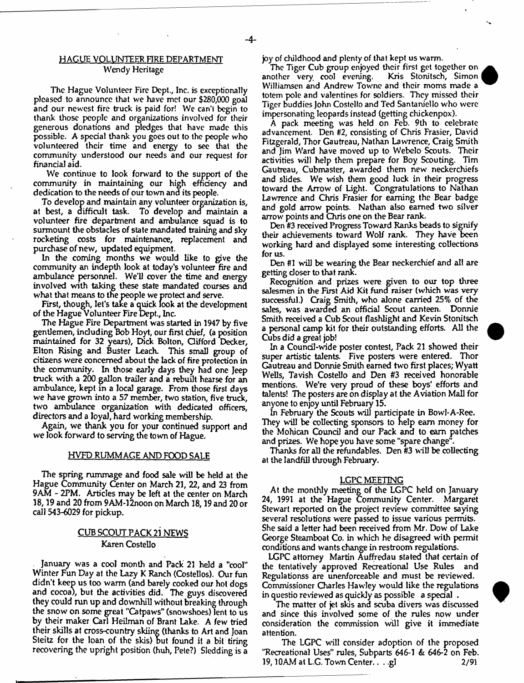#### HAGUE VOLUNTEER FIRE DEPARTMENT Wendy Heritage

The Hague Volunteer Fire Dept., Inc. is exceptionally pleased to announce that we have met our \$280,000 goal and our newest fire truck is paid for! We can't begin to thank those people and organizations involved for their generous donations and pledges that have made this possible. A special thank you goes out to the people who volunteered their time and energy to see that the community understood our needs and our request for financial aid.

We continue to look forward to the support of the community in maintaining our high efficiency and dedication to the needs of our town and its people.

To develop and maintain any volunteer organization is, at best, a difficult task. To develop and maintain a volunteer fire department and ambulance squad is to surmount the obstacles of state mandated training and sky rocketing costs for maintenance, replacement and purchase of new, updated equipment.

In the coming months we would like to give the community an indepth look at today's volunteer fire and ambulance personnel. We'll cover the time and energy involved with taking these state mandated courses and what that means to the people we protect and serve.

First, though, let's take a quick look at the development of the Hague Volunteer Fire Dept., Inc.

The Hague Fire Department was started in 1947 by five gentlemen, including Bob Hoyt, our first chief, (a position maintained for 32 years), Dick Bolton, Gifford Decker, Elton Rising and Buster Leach. This small group of citizens were concerned about the lack of fire protection in the community. In those early days they had one Jeep truck with a 200 gallon trailer and a rebuilt hearse for an ambulance, kept in a local garage. From those first days we have grown into a 57 member, two station, five truck, two ambulance organization with dedicated officers, directors and a loyal, hard working membership.

Again, we thank you for your continued support and we look forward to serving the town of Hague.

#### HVFD RUMMAGE AND FOOD SALE

The spring rummage and food sale will be held at the Hague Community Center on March 21, 22, and 23 from 9AM - 2PM. Articles may be left at the center on March 18,19 and 20 from 9AM-12noon on March 18,19 and 20 or call 543-6029 for pickup.

#### CUB SCOUT PACK 21 NEWS Karen Costello

January was a cool month and Pack 21 held a ''cool" Winter Fun Day at the Lazy K Ranch (Costellos). Our fun didn't keep us too warm (and barely cooked our hot dogs and cocoa), but the activities did. The guys discovered they could run up and downhill without breaking through the snow on some great "Catpaws" (snow-shoes) lent to us by their maker Carl Heilman of Brant Lake. A few tried their skills at cross-country skiing (thanks to Art and Joan Steitz for the loan of the skis) but found it a bit tiring recovering the upright position (huh, Pete?) Sledding is a

h

joy of childhood and plenty of that kept us warm.

The Tiger Cub group enjoyed their first get together on other very cool evening. Kris Stonitsch, Simon another very cool evening. Williamsen and Andrew-Towne and their moms made a totem pole and valentines for soldiers. They missed their Tiger buddies John Costello and Ted Santaniello who were impersonating leopards instead (getting chickenpox).

A pack meeting was held on Feb. 9th to celebrate advancement. Den #2, consisting of Chris Frasier, David Fitzgerald, Thor Gautreau, Nathan Lawrence, Craig Smith and Jim Ward have moved up to Webelo Scouts. Their activities will help them prepare for Boy Scouting. Tim Gautreau, Cubmaster, awarded them new neckerchiefs and slides. We wish them good luck in their progress toward the Arrow of Light. Congratulations to Nathan Lawrence and Chris Frasier for earning the Bear badge and gold arrow points. Nathan also earned two silver arrow points and Chris one on the Bear rank.

Den #3 received Progress Toward Ranks beads to signify their achievements toward Wolf rank. They have been working hard and displayed some interesting collections for us.

Den #1 will be wearing the Bear neckerchief and all are getting closer to that rank.

Recognition and prizes were given to our top three salesmen in the First Aid Kit fund raiser (which was very successful.) Craig Smith, who alone carried 25% of the sales, was awarded an official Scout canteen. Donnie Smith received a Cub Scout flashlight and Kevin Stonitsch a persona] camp kit for their outstanding efforts. All the Cubs did a great job!

In a Council-wide poster contest, Pack 21 showed their super artistic talents. Five posters were entered. Thor Gautreau and Donnie Smith earned two first places; Wyatt Wells, Tavish Costello and Den #3 received honorable mentions. We're very proud of these boys' efforts and talents! The posters are on display at the Aviation Mall for anyone to enjoy until February 15.

In February the Scouts will participate in Bowl-A-Ree. They will be collecting sponsors to help earn money for the Mohican Council and our Pack and to earn patches and prizes. We hope you have some "spare change".

Thanks for all the refundables. Den #3 will be collecting at the landfill through February.

#### LGPC MEETING

At the monthly meeting of the LGPC held on January 24, 1991 at the Hague Community Center. Margaret Stewart reported on the project review committee saying several resolutions were passed to issue various permits. She said a letter had been received from Mr. Dow- of Lake George Steamboat Co. in which he disagreed with permit conditions and wants change in restroom regulations.

LGPC attorney Martin Auffredau stated that certain of the tentatively approved Recreational Use Rules and Regulationss are unenforceable and must be reviewed. Commissioner Charles Hawley would like the regulations in questio review-ed as quickly as possible a special .

The matter of jet skis and scuba divers was discussed and since this involved some of the rules now under consideration the commission will give it immediate attention.

The LGPC will consider adoption of the proposed "Recreational Uses" rules, Subparts 646-1 & 646-2 on Feb. 19,10AM at L.G. Town Center.. . .gl 2/91



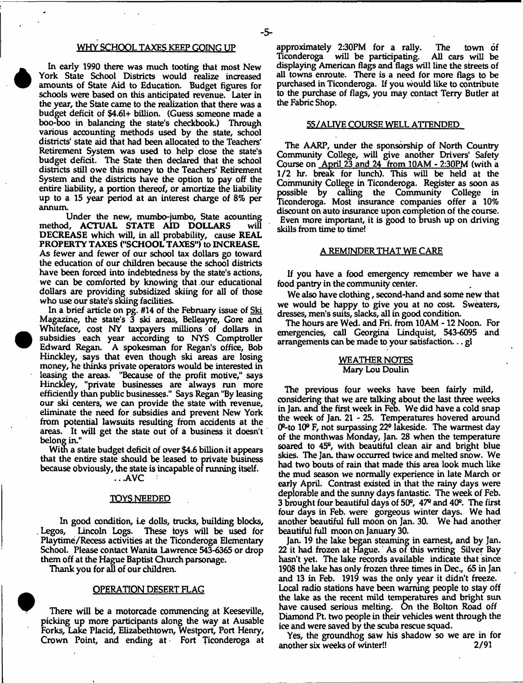#### WHY SCHOOL TAXES KEEP GOING UP

-5-

In early 1990 there was much tooting that most New York State School Districts would realize increased amounts of State Aid to Education. Budget figures for schools were based on this anticipated revenue. Later in the year, the State came to the realization that there was a budget deficit of \$4.61+ billion. (Guess someone made a boo-boo in balancing the state's checkbook.) Through various accounting methods used by the state, school districts' state aid that had been allocated to the Teachers' Retirement System was used to help close the state's budget deficit. The State then declared that the school districts still owe this money to the Teachers' Retirement System and the districts have the option to pay off the entire liability, a portion thereof, or amortize the liability up to a 15 year period at an interest charge of 8% per annum.

Under the new, mumbo-jumbo, State acounting method, ACTUAL STATE AID DOLLARS DECREASE which will, in all probability, cause REAL PROPERTY TAXES ("SCHOOL TAXES") to INCREASE. As fewer and fewer of our school tax dollars go toward the education of our children because the school districts have been forced into indebtedness by the state's actions, we can be comforted by knowing that our educational dollars are providing subsidized skiing for all of those who use our state's skiing facilities.

In a brief article on pg. #14 of the February issue of Ski Magazine, the state's 3 ski areas, Belleayre, Gore and Whiteface, cost NY taxpayers millions of dollars in subsidies each year according to NYS Comptroller Edward Regan. A spokesman for Regan's office, Bob Hinckley, says that even though ski areas are losing money, he thinks private operators would be interested in leasing the areas. "Because of the profit motive," says Hinckley, "private businesses are always run more efficiently than public businesses." Says Regan "By leasing our ski centers, we can provide the state with revenue, eliminate the need for subsidies and prevent New York from potential lawsuits resulting from accidents at the areas. It will get the state out of a business it doesn't belong in."

With a state budget deficit of over \$4.6 billion it appears that the entire state should be leased to private business because obviously, the state is incapable of running itself.

.. .AVC

#### TOYS NEEDED

In good condition, i.e dolls, trucks, building blocks, . Legos, Lincoln Logs. These toys will be used for Playtime/Recess activities at the Ticonderoga Elementary School. Please contact Wanita Lawrence 543-6365 or drop them off at the Hague Baptist Church parsonage.

Thank you for all of our children.

#### OPERATION DESERT FLAG

There will be a motorcade commencing at Keeseville, picking up more participants along the way at Ausable Forks, Lake Placid, Elizabethtown, Westport, Port Henry, Crown Point, and ending at Fort Ticonderoga at approximately 2:30PM for a rally. The town of will be participating. displaying American flags and flags will line the streets of all towns enroute. There is a need for more flags to be purchased in Ticonderoga. If you would like to contribute to the purchase of flags, you may contact Terry Butler at the Fabric Shop.

#### 55/ALIVE COURSE WELL ATTENDED

The AARP, under the sponsorship of North Country Community College, will give another Drivers' Safety Course on April 23 and 24 from 10AM - 2:30PM (with a 1/2 hr. break for lunch). This will be held at the Community College in Ticonderoga. Register as soon as possible by calling the Community College in Ticonderoga. Most insurance companies offer a 10% discount on auto insurance upon completion of the course. Even more important, it is good to brush up on driving skills from time to time!

#### A REMINDER THAT WE CARE

If you have a food emergency remember we have a food pantry in the community center.

We also have clothing, second-hand and some new that we would be happy to give you at no cost. Sweaters, dresses, men's suits, slacks, all in good condition.

The hours are Wed. and Fri. from 10AM -12 Noon. For emergencies, call Georgina Lindquist, 543-6095 and arrangements can be made to your satisfaction... gl

#### WEATHER NOTES Mary Lou Doulin

The previous four weeks have been fairly mild, considering that we are talking about the last three weeks in Jan. and the first week in Feb. We did have a cold snap the week of Jan. 21 - 25. Temperatures hovered around CP-to 10° F, not surpassing 22° lakeside. The warmest day of the month was Monday, Jan. 28 when the temperature soared to 45°, with beautiful clean air and bright blue skies. The Jan. thaw occurred twice and melted snow. We had two bouts of rain that made this area look much like the mud season we normally experience in late March or early April. Contrast existed in that the rainy days were deplorable and the sunny days fantastic. The week of Feb. 3 brought four beautiful days of 50°, 47° and 40°. The first four days in Feb. were gorgeous winter days. We had another beautiful full moon on Jan. 30. We had another beautiful full moon on January 30.

Jan. 19 the lake began steaming in earnest, and by Jan. 22 it had frozen at Hague. As of this writing Silver Bay hasn't yet. The lake records available indicate that since 1908 the lake has only frozen three times in Dec., 65 in Jan and 13 in Feb. 1919 was the only year it didn't freeze. Local radio stations have been warning people to stay off the lake as the recent mild temperatures and bright sun have caused serious melting. On the Bolton Road off Diamond Pt. two people in their vehicles went through the ice and were saved by the scuba rescue squad.

Yes, the groundhog saw his shadow so we are in for another six weeks of winter!! 2/91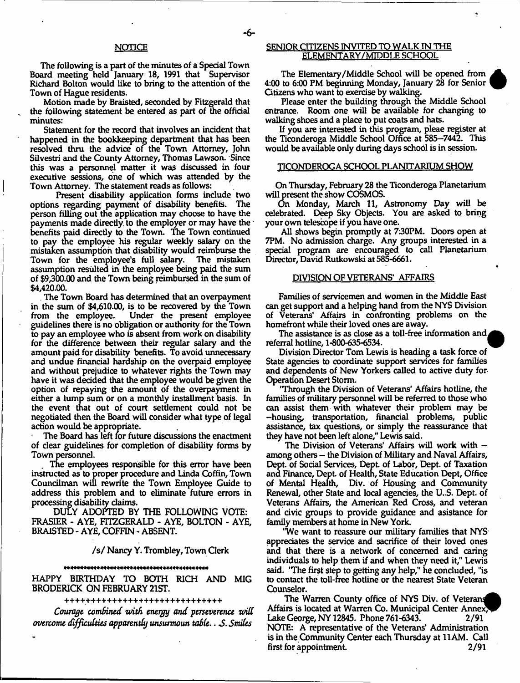The following is a part of the minutes of a Special Town Board meeting held January 18, 1991 that Supervisor Richard Bolton would like to bring to the attention of the Town of Hague residents.

Motion made by Braisted, seconded by Fitzgerald that the following statement be entered as part of the official minutes:

Statement for the record that involves an incident that happened in the bookkeeping department that has been resolved thru the advice of the Town Attorney, John Silvestri and the County Attorney, Thomas Lawson. Since this was a personnel matter it was discussed in four executive sessions, one of which was attended by the Town Attorney. The statement reads as follows:

Present disability application forms include two options regarding payment of disability benefits. The person filling out the application may choose to have the payments made directly to the employer or may have the benefits paid directly to the Town. The Town continued to pay the employee his regular weekly salary on the mistaken assumption that disability would reimburse the Town for the employee's full salary. assumption resulted in the employee being paid the sum of \$9,300.00 and the Town being reimbursed in the sum of \$4,420.00.

The Town Board has determined that an overpayment in the sum of \$4,610.00, is to be recovered by the Town from the employee. Under the present employee Under the present employee. guidelines there is no obligation or authority for the Town to pay an employee who is absent from work on disability for the difference between their regular salary and the amount paid for disability benefits. To avoid unnecessary and undue financial hardship on the overpaid employee and without prejudice to whatever rights the Town may have it was decided that the employee would be given the option of repaying the amount of the overpayment in either a lump sum or on a monthly installment basis. In the event that out of court settlement could not be negotiated then the Board will consider what type of legal action would be appropriate.

The Board has left for future discussions the enactment of dear guidelines for completion of disability forms by Town personnel.

The employees responsible for this error have been instructed as to proper procedure and Linda Coffin, Town Councilman will rewrite the Town Employee Guide to address this problem and to eliminate future errors in processing disability claims.

DULY ADOPTED BY THE FOLLOWING VOTE: FRASIER - AYE, FITZGERALD - AYE, BOLTON - AYE, BRAISTED - AYE, COFFIN - ABSENT.

#### / s / Nancy Y. Trombley, Town Clerk

HAPPY BIRTHDAY TO BOTH RICH AND MIG BRODERICK ON FEBRUARY 21ST.

++++++++++++++++++++++++++++++

Courage combined with energy and perseverence will *overcome difficulties apparently unsurmoun table*.. *S Smiles*

#### SENIOR CITIZENS INVITED TO WALK IN THE ELEMENTARY/MIDDLE SCHOOL

The Elementary/Middle School will be opened from 4:00 to 6:00 PM beginning Monday, January 28 for Senior Gtizens who want to exercise by walking.

Please enter the building through the Middle School entrance. Room one will be available for changing to walking shoes and a place to put coats and hats.

If you are interested in this program, pleae register at the Ticonderoga Middle School Office at 585-7442. This Would be available only during days school is in session.

#### TICONDEROGA SCHOOL PLANITARIUM SHOW

On Thursday, February 28 the Ticonderoga Planetarium will present the show COSMOS.

On Monday, March 11, Astronomy Day will be celebrated. Deep Sky Objects. You are asked to bring your own telescope if you have one.

All shows begin promptly at 7:30PM. Doors open at 7PM. No admission charge. Any groups interested in a special program are encouraged to call Planetarium Director, David Rutkowski at 585-6661.

#### DIVISION OF VETERANS' AFFAIRS

Families of servicemen and women in the Middle East can get support and a helping hand from the NYS Division of Veterans' Affairs in confronting problems on the homefront while their loved ones are away.

The assistance is as close as a toll-free information and  $\rho$ referral hotline, 1-800-635-6534.

Division Director Tom Lewis is heading a task force of State agencies to coordinate support services for families and dependents of New Yorkers called to active duty for Operation Desert Storm.

'Through the Division of Veterans' Affairs hotline, the families of military personnel will be referred to those who can assist them with whatever their problem may be -housing, transportation, financial problems, public assistance, tax questions, or simply the reassurance that they have not been left alone," Lewis said.

The Division of Veterans' Affairs will work with among others — the Division of Military and Naval Affairs, Dept, of Social Services, Dept of Labor, Dept, of Taxation and Finance, Dept of Health, State Education Dept, Office of Mental Health, Div. of Housing and Community Renewal, other State and local agencies, the U..S. Dept, of Veterans Affairs, the American Red Cross, and veteran and dvic groups to provide guidance and asistance for family members at home in New York.

'We want to reassure our military families that NYS appreciates the service and sacrifice of their loved ones and that there is a network of concerned and caring individuals to help them if and when they need it," Lewis said. 'The first step to getting any help," he conduded, "is to contact the toll-free hotline or the nearest State Veteran Counselor.

The Warren County office of NYS Div. of Veterans Affairs is located at Warren Co. Municipal Center Annex, Lake George, NY 12845. Phone 761-6343. 2/91 NOTE: A representative of the Veterans' Administration is in the Community Center each Thursday at 11AM. Call first for appointment. 2/91

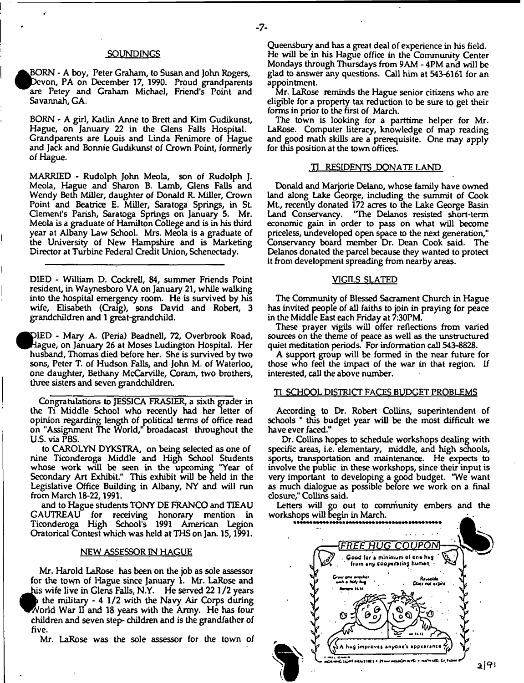#### **SOUNDINGS**

BORN - A boy, Peter Graham, to Susan and John Rogers, Devon, PA on December 17, 1990. Proud grandparents are Petey and Graham Michael, Friend's Point and Savannah, GA.

BORN - A girl, Katlin Anne to Brett and Kim Gudikunst, Hague, on January 22 in the Glens Falls Hospital. Grandparents are Louis and Linda Fenimore of Hague and Jack and Bonnie Gudikunst of Crown Point, formerly of Hague.

MARRIED - Rudolph John Meola, son of Rudolph J. Meola, Hague and Sharon B. Lamb, Glens Falls and Wendy Beth Miller, daughter of Donald R. Miller, Crown Point and Beatrice E. Miller, Saratoga Springs, in St Clement's Parish, Saratoga Springs on January 5. Mr. Meola is a graduate of Hamilton College and is in his third year at Albany Law School. Mrs. Meola is a graduate of the University of New Hampshire and is Marketing Director at Turbine Federal Credit Union, Schenectady.

DIED - William D. Cockrell, 84, summer Friends Point resident, in Waynesboro VA on January 21, while walking into the hospital emergency room. He is survived by his wife, Elisabeth (Craig), sons David and Robert, 3 grandchildren and 1 great-grandchild.

IED - Mary A. (Peria) Beadnell, 72, Overbrook Road, gue, on January 26 at Moses Ludington Hospital. Her husband, Thomas died before her. She is survived by two sons, Peter T. of Hudson Falls, and John M. of Waterloo, one daughter, Bethany McCarville, Coram, two brothers, three sisters and seven grandchildren.

Congratulations to JESSICA FRASIER, a sixth grader in the Ti Middle School who recently had her letter of opinion regarding length of political terms of office read on "Assignment The World," broadacast throughout the U.S. via PBS.

to CAROLYN DYKSTRA, on being selected as one of nine Ticonderoga Middle and High School Students whose work will be seen in the upcoming "Year of Secondary Art Exhibit." This exhibit will be held in the Legislative Office Building in Albany, NY and will run from March 18-22,1991.

and to Hague students TONY DE FRANCO and TIEAU GAUTREAU for receiving honorary mention in Ticonderoga High School's 1991 American Legion Oratorical Contest which was held at THS on Jan. 15,1991.

#### NEW ASSESSOR IN HAGUE

for the town of Hague since January 1. Mr. LaRose and the military - 4 1/2 with the Navy Air Corps during orld War II and 18 years with the Army. He has four Mr. Harold LaRose has been on the job as sole assessor his wife live in Glens Falls, N.Y. He served 22 1/2 years children and seven step- children and is the grandfather of five.

€

Mr. LaRose was the sole assessor for the town of

Queensbury and has a great deal of experience in his field. He will be in his Hague office in the Community Center Mondays through Thursdays from 9AM - 4PM and will be glad to answer any questions. Call him at 543-6161 for an appointment.

Mr, LaRose reminds the Hague senior citizens who are eligible for a property tax reduction to be sure to get their forms in prior to the first of March.

The town is looking for a parttime helper for Mr. LaRose. Computer literacy, knowledge of map reading and good math skills are a prerequisite. One may apply for this position at the town offices.

#### TI RESIDENTS DONATE LAND

Donald and Marjorie Delano, whose family have owned land along Lake George, including the summit of Cook Mt., recently donated 172 acres to the Lake George Basin Land Conservancy. "The Delanos resisted short-term economic gain in order to pass on what will become priceless, undeveloped open space to the next generation," Conservancy board member Dr. Dean Cook said. The Delanos donated the parcel because they wanted to protect it from development spreading from nearby areas.

#### VIGILS SLATED

The Community of Blessed Sacrament Church in Hague has invited people of all faiths to join in praying for peace in the Middle East each Friday at 7:30PM.

These prayer vigils will offer reflections from varied sources on the theme of peace as well as the unstructured quiet meditation periods. For information call 543-8828.

A support group will be formed in the near future for those who feel the impact of the war in that region. If interested, call the above number.

#### TI SCHOOL DISTRICT FACES BUDGET PROBLEMS

According to Dr. Robert Collins, superintendent of schools " this budget year will be the most difficult we have ever faced."

Dr. Collins hopes to schedule workshops dealing with specific areas, i.e. elementary, middle, and high schools, sports, transportation and maintenance. He expects to involve the public in these workshops, since their input is very important to developing a good budget. "We want as much dialogue as possible before we work on a final closure," Collins said.

Letters will go out to community embers and the workshops will begin in March.